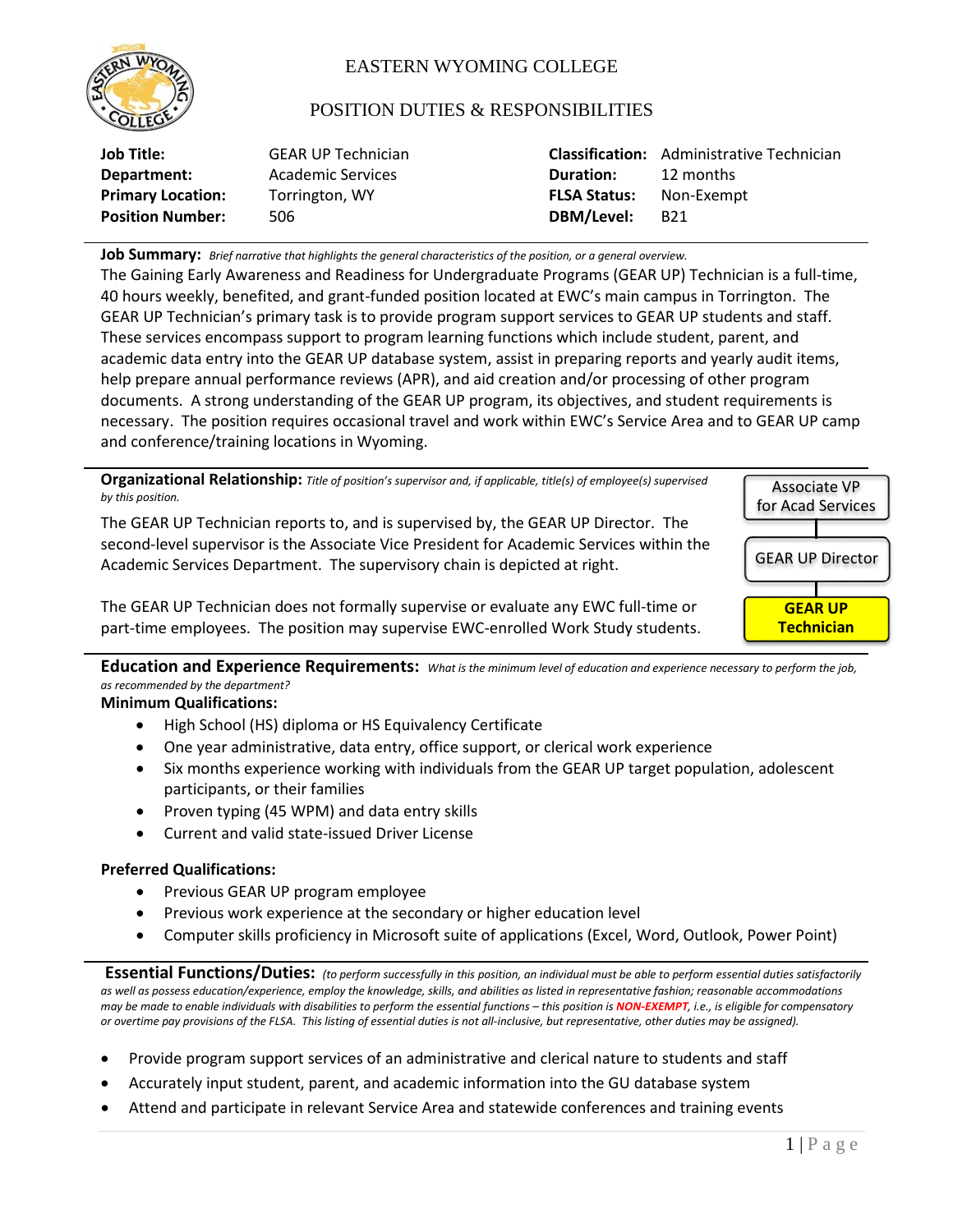

# EASTERN WYOMING COLLEGE

## POSITION DUTIES & RESPONSIBILITIES

| <b>Job Title:</b>        | <b>GEAR UP Technician</b> |                     | <b>Classification:</b> Administrative Technician |
|--------------------------|---------------------------|---------------------|--------------------------------------------------|
| Department:              | Academic Services         | <b>Duration:</b>    | 12 months                                        |
| <b>Primary Location:</b> | Torrington, WY            | <b>FLSA Status:</b> | Non-Exempt                                       |
| <b>Position Number:</b>  | 506                       | DBM/Level:          | - B21                                            |

**Job Summary:** *Brief narrative that highlights the general characteristics of the position, or a general overview.* The Gaining Early Awareness and Readiness for Undergraduate Programs (GEAR UP) Technician is a full-time, 40 hours weekly, benefited, and grant-funded position located at EWC's main campus in Torrington. The GEAR UP Technician's primary task is to provide program support services to GEAR UP students and staff. These services encompass support to program learning functions which include student, parent, and academic data entry into the GEAR UP database system, assist in preparing reports and yearly audit items, help prepare annual performance reviews (APR), and aid creation and/or processing of other program documents. A strong understanding of the GEAR UP program, its objectives, and student requirements is necessary. The position requires occasional travel and work within EWC's Service Area and to GEAR UP camp and conference/training locations in Wyoming.

**Organizational Relationship:** *Title of position's supervisor and, if applicable, title(s) of employee(s) supervised by this position.*

The GEAR UP Technician reports to, and is supervised by, the GEAR UP Director. The second-level supervisor is the Associate Vice President for Academic Services within the Academic Services Department. The supervisory chain is depicted at right.



The GEAR UP Technician does not formally supervise or evaluate any EWC full-time or part-time employees. The position may supervise EWC-enrolled Work Study students.

**Education and Experience Requirements:** *What is the minimum level of education and experience necessary to perform the job, as recommended by the department?*

### **Minimum Qualifications:**

- High School (HS) diploma or HS Equivalency Certificate
- One year administrative, data entry, office support, or clerical work experience
- Six months experience working with individuals from the GEAR UP target population, adolescent participants, or their families
- Proven typing (45 WPM) and data entry skills
- Current and valid state-issued Driver License

#### **Preferred Qualifications:**

- Previous GEAR UP program employee
- Previous work experience at the secondary or higher education level
- Computer skills proficiency in Microsoft suite of applications (Excel, Word, Outlook, Power Point)

**Essential Functions/Duties:** *(to perform successfully in this position, an individual must be able to perform essential duties satisfactorily*  as well as possess education/experience, employ the knowledge, skills, and abilities as listed in representative fashion; reasonable accommodations *may be made to enable individuals with disabilities to perform the essential functions – this position is NON-EXEMPT, i.e., is eligible for compensatory or overtime pay provisions of the FLSA. This listing of essential duties is not all-inclusive, but representative, other duties may be assigned).*

- Provide program support services of an administrative and clerical nature to students and staff
- Accurately input student, parent, and academic information into the GU database system
- Attend and participate in relevant Service Area and statewide conferences and training events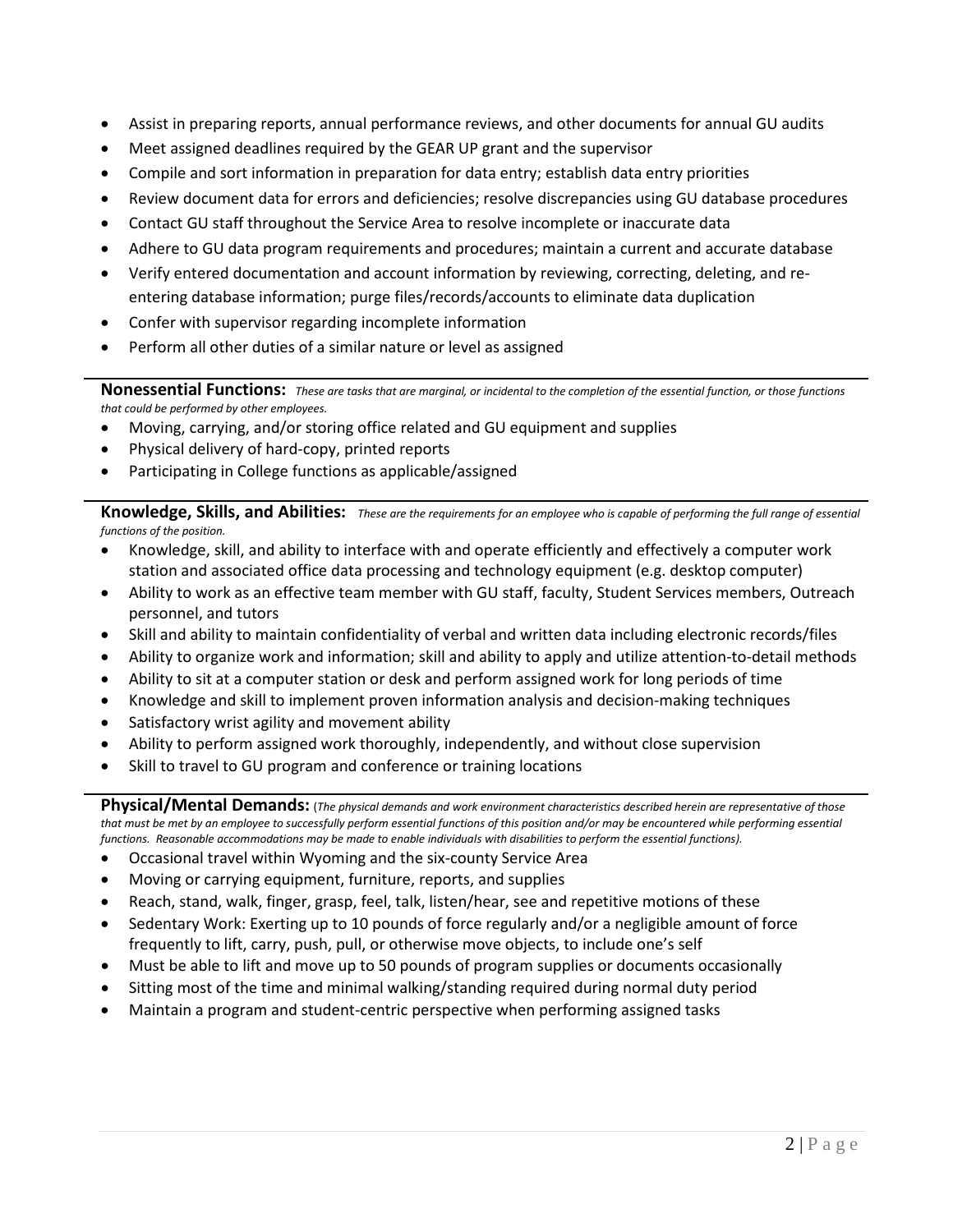- Assist in preparing reports, annual performance reviews, and other documents for annual GU audits
- Meet assigned deadlines required by the GEAR UP grant and the supervisor
- Compile and sort information in preparation for data entry; establish data entry priorities
- Review document data for errors and deficiencies; resolve discrepancies using GU database procedures
- Contact GU staff throughout the Service Area to resolve incomplete or inaccurate data
- Adhere to GU data program requirements and procedures; maintain a current and accurate database
- Verify entered documentation and account information by reviewing, correcting, deleting, and reentering database information; purge files/records/accounts to eliminate data duplication
- Confer with supervisor regarding incomplete information
- Perform all other duties of a similar nature or level as assigned

**Nonessential Functions:** *These are tasks that are marginal, or incidental to the completion of the essential function, or those functions that could be performed by other employees.*

- Moving, carrying, and/or storing office related and GU equipment and supplies
- Physical delivery of hard-copy, printed reports
- Participating in College functions as applicable/assigned

**Knowledge, Skills, and Abilities:** *These are the requirements for an employee who is capable of performing the full range of essential functions of the position.*

- Knowledge, skill, and ability to interface with and operate efficiently and effectively a computer work station and associated office data processing and technology equipment (e.g. desktop computer)
- Ability to work as an effective team member with GU staff, faculty, Student Services members, Outreach personnel, and tutors
- Skill and ability to maintain confidentiality of verbal and written data including electronic records/files
- Ability to organize work and information; skill and ability to apply and utilize attention-to-detail methods
- Ability to sit at a computer station or desk and perform assigned work for long periods of time
- Knowledge and skill to implement proven information analysis and decision-making techniques
- Satisfactory wrist agility and movement ability
- Ability to perform assigned work thoroughly, independently, and without close supervision
- Skill to travel to GU program and conference or training locations

**Physical/Mental Demands:** (*The physical demands and work environment characteristics described herein are representative of those*  that must be met by an employee to successfully perform essential functions of this position and/or may be encountered while performing essential *functions. Reasonable accommodations may be made to enable individuals with disabilities to perform the essential functions).*

- Occasional travel within Wyoming and the six-county Service Area
- Moving or carrying equipment, furniture, reports, and supplies
- Reach, stand, walk, finger, grasp, feel, talk, listen/hear, see and repetitive motions of these
- Sedentary Work: Exerting up to 10 pounds of force regularly and/or a negligible amount of force frequently to lift, carry, push, pull, or otherwise move objects, to include one's self
- Must be able to lift and move up to 50 pounds of program supplies or documents occasionally
- Sitting most of the time and minimal walking/standing required during normal duty period
- Maintain a program and student-centric perspective when performing assigned tasks